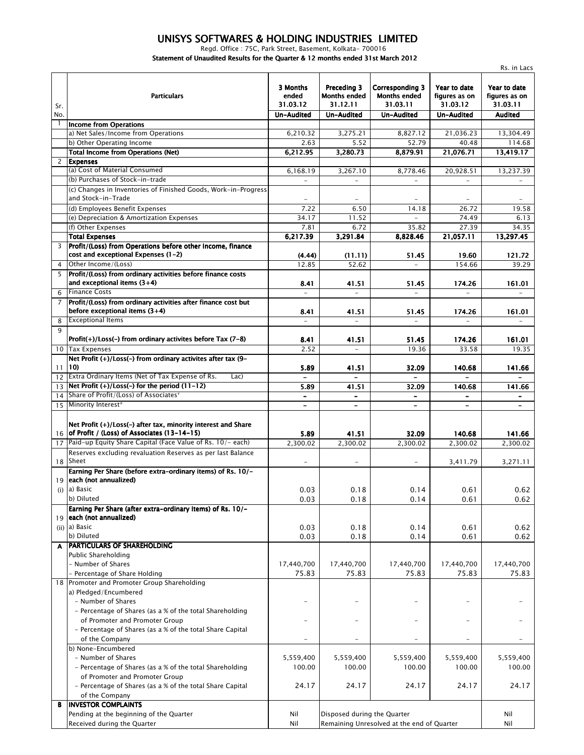## *UNISYS SOFTWARES & HOLDING INDUSTRIES LIMITED*

*Regd. Office : 75C, Park Street, Basement, Kolkata- 700016*

*Statement of Unaudited Results for the Quarter & 12 months ended 31st March 2012*

|                 |                                                                                                                 | Rs. in Lacs                   |                                                |                                                           |                                           |                                           |  |
|-----------------|-----------------------------------------------------------------------------------------------------------------|-------------------------------|------------------------------------------------|-----------------------------------------------------------|-------------------------------------------|-------------------------------------------|--|
| Sr.             | <b>Particulars</b>                                                                                              | 3 Months<br>ended<br>31.03.12 | Preceding 3<br><b>Months ended</b><br>31.12.11 | <b>Corresponding 3</b><br><b>Months ended</b><br>31.03.11 | Year to date<br>figures as on<br>31.03.12 | Year to date<br>figures as on<br>31.03.11 |  |
| No.             |                                                                                                                 | Un-Audited                    | Un-Audited                                     | Un-Audited                                                | <b>Un-Audited</b>                         | <b>Audited</b>                            |  |
|                 | <b>Income from Operations</b>                                                                                   |                               |                                                |                                                           |                                           |                                           |  |
|                 | a) Net Sales/Income from Operations                                                                             | 6.210.32                      | 3,275.21                                       | 8,827.12                                                  | 21,036.23                                 | 13,304.49                                 |  |
|                 | b) Other Operating Income<br><b>Total Income from Operations (Net)</b>                                          | 2.63                          | 5.52                                           | 52.79                                                     | 40.48                                     | 114.68                                    |  |
| 2               | <b>Expenses</b>                                                                                                 | 6,212.95                      | 3,280.73                                       | 8,879.91                                                  | 21,076.71                                 | 13,419.17                                 |  |
|                 | (a) Cost of Material Consumed                                                                                   | 6,168.19                      | 3,267.10                                       | 8,778.46                                                  | 20,928.51                                 | 13,237.39                                 |  |
|                 | (b) Purchases of Stock-in-trade                                                                                 | $\equiv$                      | $\equiv$                                       | $\equiv$                                                  | $\equiv$                                  | $\overline{\phantom{a}}$                  |  |
|                 | (c) Changes in Inventories of Finished Goods, Work-in-Progress                                                  |                               |                                                |                                                           |                                           |                                           |  |
|                 | and Stock-in-Trade                                                                                              |                               |                                                |                                                           |                                           |                                           |  |
|                 | (d) Employees Benefit Expenses                                                                                  | 7.22                          | 6.50                                           | 14.18                                                     | 26.72                                     | 19.58                                     |  |
|                 | (e) Depreciation & Amortization Expenses                                                                        | 34.17                         | 11.52                                          |                                                           | 74.49                                     | 6.13                                      |  |
|                 | (f) Other Expenses                                                                                              | 7.81                          | 6.72                                           | 35.82                                                     | 27.39                                     | 34.35                                     |  |
|                 | <b>Total Expenses</b>                                                                                           | 6,217.39                      | 3,291.84                                       | 8,828.46                                                  | 21,057.11                                 | 13,297.45                                 |  |
| 3               | Profit/(Loss) from Operations before other Income, finance<br>cost and exceptional Expenses (1-2)               | (4.44)                        | (11.11)                                        | 51.45                                                     | 19.60                                     | 121.72                                    |  |
| $\overline{4}$  | Other Income/(Loss)                                                                                             | 12.85                         | 52.62                                          |                                                           | 154.66                                    | 39.29                                     |  |
| 5               | Profit/(Loss) from ordinary activities before finance costs<br>and exceptional items $(3+4)$                    | 8.41                          | 41.51                                          | 51.45                                                     | 174.26                                    | 161.01                                    |  |
| 6               | <b>Finance Costs</b>                                                                                            |                               |                                                |                                                           |                                           |                                           |  |
| 7               | Profit/(Loss) from ordinary activities after finance cost but<br>before exceptional items (3+4)                 | 8.41                          | 41.51                                          | 51.45                                                     | 174.26                                    | 161.01                                    |  |
| 8               | <b>Exceptional Items</b>                                                                                        |                               |                                                |                                                           |                                           |                                           |  |
| $\mathbf{Q}$    | Profit $(+)/$ Loss $(-)$ from ordinary activites before Tax $(7-8)$                                             | 8.41                          | 41.51                                          | 51.45                                                     | 174.26                                    | 161.01                                    |  |
| 10 <sup>°</sup> | <b>Tax Expenses</b>                                                                                             | 2.52                          | $\overline{\phantom{a}}$                       | 19.36                                                     | 33.58                                     | 19.35                                     |  |
| 11              | Net Profit (+)/Loss(-) from ordinary activites after tax (9-<br>10)                                             | 5.89                          | 41.51                                          | 32.09                                                     | 140.68                                    | 141.66                                    |  |
| 12              | Extra Ordinary Items (Net of Tax Expense of Rs.<br>Lac)                                                         |                               |                                                |                                                           |                                           |                                           |  |
| 13              | Net Profit $(+)/$ Loss $(-)$ for the period $(11-12)$                                                           | 5.89                          | 41.51                                          | 32.09                                                     | 140.68                                    | 141.66                                    |  |
| 14              | Share of Profit/(Loss) of Associates <sup>*</sup>                                                               | $\overline{\phantom{a}}$      | $\qquad \qquad \blacksquare$                   | $\qquad \qquad \blacksquare$                              | $\overline{\phantom{0}}$                  |                                           |  |
| 15              | Minority Interest*                                                                                              |                               | $\overline{\phantom{a}}$                       |                                                           |                                           |                                           |  |
|                 | Net Profit (+)/Loss(-) after tax, minority interest and Share<br>16 of Profit / (Loss) of Associates (13-14-15) | 5.89                          | 41.51                                          | 32.09                                                     | 140.68                                    | 141.66                                    |  |
| 17              | Paid-up Equity Share Capital (Face Value of Rs. 10/- each)                                                      | 2,300.02                      | 2.300.02                                       | 2,300.02                                                  | 2,300.02                                  | 2,300.02                                  |  |
|                 | Reserves excluding revaluation Reserves as per last Balance                                                     |                               |                                                |                                                           |                                           |                                           |  |
|                 | 18 Sheet                                                                                                        |                               | $\overline{\phantom{a}}$                       |                                                           | 3,411.79                                  | 3,271.11                                  |  |
|                 | Earning Per Share (before extra-ordinary items) of Rs. 10/-                                                     |                               |                                                |                                                           |                                           |                                           |  |
|                 | 19 each (not annualized)                                                                                        |                               |                                                |                                                           |                                           |                                           |  |
|                 | $(i)$ a) Basic                                                                                                  | 0.03                          | 0.18                                           | 0.14                                                      | 0.61                                      | 0.62                                      |  |
|                 | b) Diluted                                                                                                      | 0.03                          | 0.18                                           | 0.14                                                      | 0.61                                      | 0.62                                      |  |
|                 | Earning Per Share (after extra-ordinary items) of Rs. 10/-                                                      |                               |                                                |                                                           |                                           |                                           |  |
| 19              | each (not annualized)                                                                                           |                               |                                                |                                                           |                                           |                                           |  |
|                 | $(ii)$ a) Basic                                                                                                 | 0.03                          | 0.18                                           | 0.14                                                      | 0.61                                      | 0.62                                      |  |
|                 | b) Diluted                                                                                                      | 0.03                          | 0.18                                           | 0.14                                                      | 0.61                                      | 0.62                                      |  |
| A               | PARTICULARS OF SHAREHOLDING                                                                                     |                               |                                                |                                                           |                                           |                                           |  |
|                 | Public Shareholding<br>- Number of Shares                                                                       | 17,440,700                    | 17,440,700                                     | 17,440,700                                                | 17,440,700                                | 17,440,700                                |  |
|                 | Percentage of Share Holding                                                                                     | 75.83                         | 75.83                                          | 75.83                                                     | 75.83                                     | 75.83                                     |  |
|                 | 18 Promoter and Promoter Group Shareholding                                                                     |                               |                                                |                                                           |                                           |                                           |  |
|                 | a) Pledged/Encumbered                                                                                           |                               |                                                |                                                           |                                           |                                           |  |
|                 | - Number of Shares                                                                                              |                               |                                                |                                                           |                                           |                                           |  |
|                 | - Percentage of Shares (as a % of the total Shareholding                                                        |                               |                                                |                                                           |                                           |                                           |  |
|                 | of Promoter and Promoter Group                                                                                  |                               | $\equiv$                                       |                                                           |                                           |                                           |  |
|                 | - Percentage of Shares (as a % of the total Share Capital                                                       |                               |                                                |                                                           |                                           |                                           |  |
|                 | of the Company                                                                                                  | $\overline{\phantom{m}}$      |                                                | $\qquad \qquad -$                                         |                                           |                                           |  |
|                 | b) None-Encumbered                                                                                              |                               |                                                |                                                           |                                           |                                           |  |
|                 | - Number of Shares                                                                                              | 5,559,400                     | 5,559,400                                      | 5,559,400                                                 | 5,559,400                                 | 5,559,400                                 |  |
|                 | - Percentage of Shares (as a % of the total Shareholding                                                        | 100.00                        | 100.00                                         | 100.00                                                    | 100.00                                    | 100.00                                    |  |
|                 | of Promoter and Promoter Group                                                                                  |                               |                                                |                                                           |                                           |                                           |  |
|                 | - Percentage of Shares (as a % of the total Share Capital<br>of the Company                                     | 24.17                         | 24.17                                          | 24.17                                                     | 24.17                                     | 24.17                                     |  |
| В               | <b>INVESTOR COMPLAINTS</b>                                                                                      |                               |                                                |                                                           |                                           |                                           |  |
|                 | Pending at the beginning of the Quarter                                                                         | Nil                           | Disposed during the Quarter                    |                                                           |                                           | Nil                                       |  |
|                 | Received during the Quarter                                                                                     | Nil                           | Remaining Unresolved at the end of Quarter     |                                                           |                                           | Nil                                       |  |